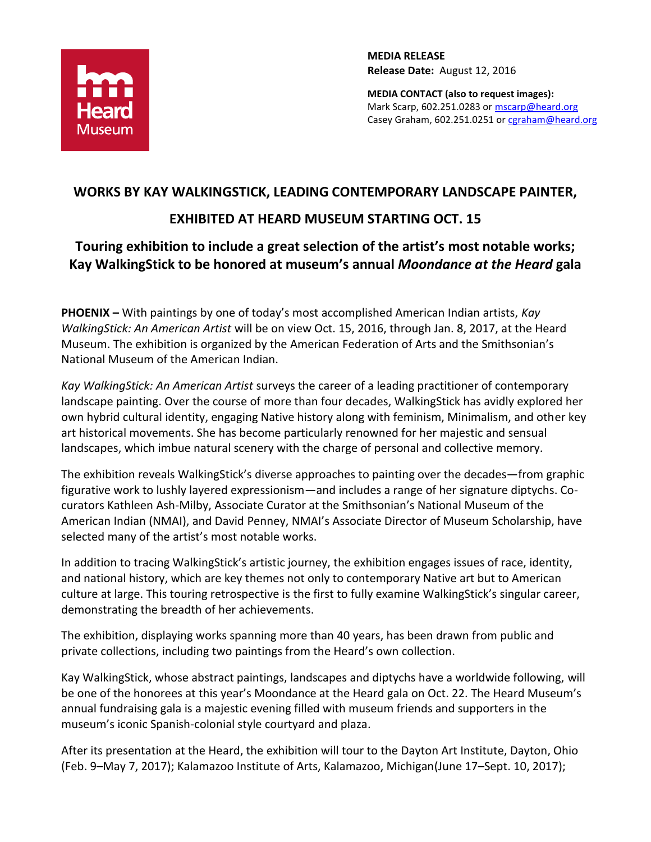

**MEDIA RELEASE Release Date:** August 12, 2016

**MEDIA CONTACT (also to request images):** Mark Scarp, 602.251.0283 o[r mscarp@heard.org](mailto:mscarp@heard.org) Casey Graham, 602.251.0251 or [cgraham@heard.org](mailto:cgraham@heard.org)

# **WORKS BY KAY WALKINGSTICK, LEADING CONTEMPORARY LANDSCAPE PAINTER,**

## **EXHIBITED AT HEARD MUSEUM STARTING OCT. 15**

## **Touring exhibition to include a great selection of the artist's most notable works; Kay WalkingStick to be honored at museum's annual** *Moondance at the Heard* **gala**

**PHOENIX –** With paintings by one of today's most accomplished American Indian artists, *Kay WalkingStick: An American Artist* will be on view Oct. 15, 2016, through Jan. 8, 2017, at the Heard Museum. The exhibition is organized by the American Federation of Arts and the Smithsonian's National Museum of the American Indian.

*Kay WalkingStick: An American Artist* surveys the career of a leading practitioner of contemporary landscape painting. Over the course of more than four decades, WalkingStick has avidly explored her own hybrid cultural identity, engaging Native history along with feminism, Minimalism, and other key art historical movements. She has become particularly renowned for her majestic and sensual landscapes, which imbue natural scenery with the charge of personal and collective memory.

The exhibition reveals WalkingStick's diverse approaches to painting over the decades—from graphic figurative work to lushly layered expressionism—and includes a range of her signature diptychs. Cocurators Kathleen Ash-Milby, Associate Curator at the Smithsonian's National Museum of the American Indian (NMAI), and David Penney, NMAI's Associate Director of Museum Scholarship, have selected many of the artist's most notable works.

In addition to tracing WalkingStick's artistic journey, the exhibition engages issues of race, identity, and national history, which are key themes not only to contemporary Native art but to American culture at large. This touring retrospective is the first to fully examine WalkingStick's singular career, demonstrating the breadth of her achievements.

The exhibition, displaying works spanning more than 40 years, has been drawn from public and private collections, including two paintings from the Heard's own collection.

Kay WalkingStick, whose abstract paintings, landscapes and diptychs have a worldwide following, will be one of the honorees at this year's Moondance at the Heard gala on Oct. 22. The Heard Museum's annual fundraising gala is a majestic evening filled with museum friends and supporters in the museum's iconic Spanish-colonial style courtyard and plaza.

After its presentation at the Heard, the exhibition will tour to the Dayton Art Institute, Dayton, Ohio (Feb. 9–May 7, 2017); Kalamazoo Institute of Arts, Kalamazoo, Michigan(June 17–Sept. 10, 2017);